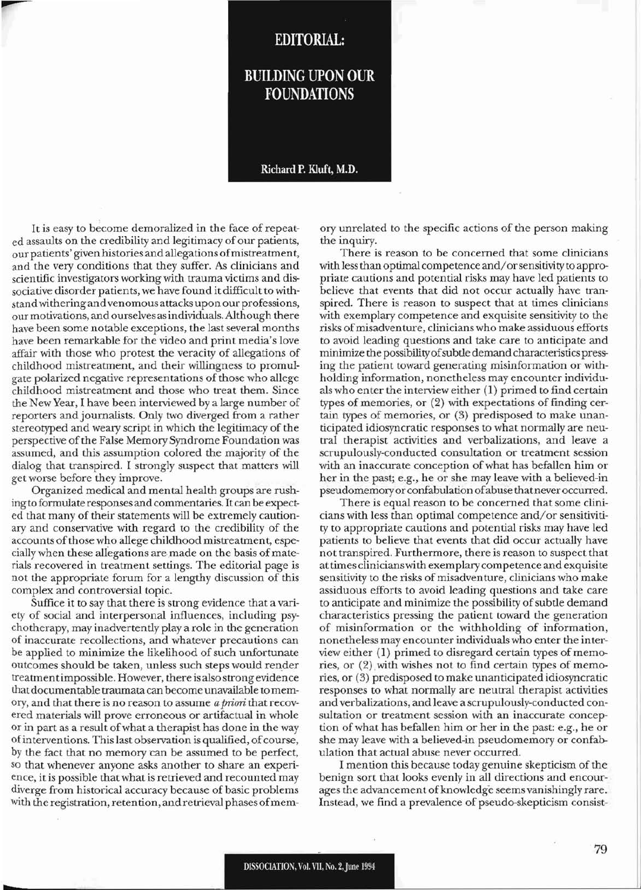## **EDITORIAL:**

## **BUILDING UPON OUR FOUNDATIONS**

## Richard P. Kluft, M.D.

It is easy to become demoralized in the face of repeated assaults on the credibility and legitimacy of our patients, our patients' given histories and allegations ofmistreatment, and the very conditions that they suffer. As clinicians and scientific investigators working with trauma victims and dissociative disorder patients, we have found it difficult to withstandwithering and venomous attacks upon our professions, ourmotivations, and ourselves asindividuals.Although there have been some notable exceptions, the last several months have been remarkable for the video and print media's love affair with those who protest the veracity of allegations of childhood mistreatment, and their willingness to promulgate polarized negative representations of those who allege childhood mistreatment and those who treat them. Since the New Year, I have been interviewed by a large number of reporters and journalists. Only two diverged from a rather stereotyped and weary script in which the legitimacy of the perspective of the False Memory Syndrome Foundation was assumed, and this assumption colored the majority of the dialog that transpired. I strongly suspect that matters will get worse before they improve.

Organized medical and mental health groups are rushing to formulate responses and commentaries. It can be expected that many of their statements will be extremely cautionary and conservative with regard to the credibility of the accounts of those who allege childhood mistreatment, especially when these allegations are made on the basis of materials recovered in treatment settings. The editorial page is not the appropriate forum for a lengthy discussion of this complex and controversial topic.

Suffice it to say that there is strong evidence that a variety of social and interpersonal influences, including psychotherapy, may inadvertently playa role in the generation of inaccurate recollections, and whatever precautions can be applied to minimize the likelihood of such unfortunate outcomes should be taken, unless such steps would render treatmentimpossible. However, there is also strong evidence that documentable traumata can become unavailable to memory, and that there is no reason to assume *a priori* that recovered materials will prove erroneous or artifactual in whole Or in part as a result ofwhat a therapist has done in the way of interventions. This last observation is qualified, of course, by the fact that no memory can be assumed to be perfect, so that whenever anyone asks another to share an experience, it is possible that what is retrieved and recounted may diverge from historical accuracy because of basic problems with the registration, retention, and retrieval phases of memory unrelated to the specific actions of the person making the inquiry.

There is reason to be concerned that some clinicians with lessthan optimal competence and/orsensitivity to appropriate cautions and potential risks may have led patients to believe that events that did not occur actually have transpired. There is reason to suspect that at times clinicians with exemplary competence and exquisite sensitivity to the risks ofmisadventure, clinicians who make assiduous efforts to avoid leading questions and take care to anticipate and minimize the possibilityofsubtle demand characteristics pressing the patient toward generating misinformation or withholding information, nonetheless may encounter individuals who enter the interview either (1) primed to find certain types of memories, or  $(2)$  with expectations of finding certain types of memories, or (3) predisposed to make unanticipated idiosyncratic responses to what normally are neutral therapist activities and verbalizations, and leave a scrupulously-conducted consultation or treatment session with an inaccurate conception of what has befallen him or her in the past; e.g., he or she may leave with a believed-in pseudomemoryor confabulation ofabuse thatneveroccurred.

There is equal reason to be concerned that some clinicians with less than optimal competence and/or sensitivitity to appropriate cautions and potential risks may have led patients to believe that events that did occur actually have not transpired. Furthermore, there is reason to suspect that at times clinicianswith exemplary competence and exquisite sensitivity to the risks of misadventure, clinicians who make assiduous efforts to avoid leading questions and take care to anticipate and minimize the possibility of subtle demand characteristics pressing the patient toward the generation of misinformation or the withholding of information, nonetheless may encounterindividuals who enter the interview either (1) primed to disregard certain types of memories, or  $(2)$  with wishes not to find certain types of memories, or (3) predisposed to make unanticipated idiosyncratic responses to what normally are neutral therapist activities and verbalizations, and leave a scrupulously-conducted consultation or treatment session with an inaccurate conception of what has befallen him or her in the past: e.g., he or she may leave with a believed-in pseudomemory or confabulation that actual abuse never occurred.

I mention this because today genuine skepticism of the benign sort that looks evenly in all directions and encourages the advancement of knowledge seems vanishingly rare. Instead, we find a prevalence of pseudo-skepticism consist